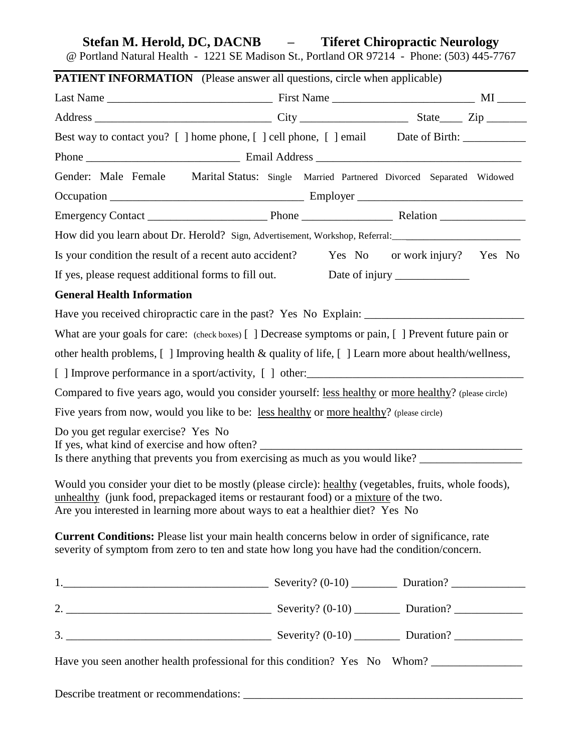# **Stefan M. Herold, DC, DACNB – Tiferet Chiropractic Neurology**

@ Portland Natural Health - 1221 SE Madison St., Portland OR 97214 - Phone: (503) 445-7767

| Best way to contact you? [ ] home phone, [ ] cell phone, [ ] email Date of Birth: _________________<br>Gender: Male Female Marital Status: Single Married Partnered Divorced Separated Widowed<br>How did you learn about Dr. Herold? Sign, Advertisement, Workshop, Referral: _________________________________<br>Is your condition the result of a recent auto accident? Yes No or work injury? Yes No<br>If yes, please request additional forms to fill out.<br><b>General Health Information</b><br>What are your goals for care: (check boxes) [] Decrease symptoms or pain, [] Prevent future pain or<br>other health problems, [ ] Improving health & quality of life, [ ] Learn more about health/wellness,<br>Compared to five years ago, would you consider yourself: less healthy or more healthy? (please circle)<br>Five years from now, would you like to be: less healthy or more healthy? (please circle)<br>Do you get regular exercise? Yes No<br>If yes, what kind of exercise and how often?<br>Is there anything that prevents you from exercising as much as you would like? ____________________<br>Would you consider your diet to be mostly (please circle): healthy (vegetables, fruits, whole foods),<br>unhealthy (junk food, prepackaged items or restaurant food) or a mixture of the two.<br>Are you interested in learning more about ways to eat a healthier diet? Yes No<br>Current Conditions: Please list your main health concerns below in order of significance, rate<br>severity of symptom from zero to ten and state how long you have had the condition/concern.<br>Have you seen another health professional for this condition? Yes No Whom? | <b>PATIENT INFORMATION</b> (Please answer all questions, circle when applicable) |  |  |
|---------------------------------------------------------------------------------------------------------------------------------------------------------------------------------------------------------------------------------------------------------------------------------------------------------------------------------------------------------------------------------------------------------------------------------------------------------------------------------------------------------------------------------------------------------------------------------------------------------------------------------------------------------------------------------------------------------------------------------------------------------------------------------------------------------------------------------------------------------------------------------------------------------------------------------------------------------------------------------------------------------------------------------------------------------------------------------------------------------------------------------------------------------------------------------------------------------------------------------------------------------------------------------------------------------------------------------------------------------------------------------------------------------------------------------------------------------------------------------------------------------------------------------------------------------------------------------------------------------------------------------------------------------------------------------------------|----------------------------------------------------------------------------------|--|--|
|                                                                                                                                                                                                                                                                                                                                                                                                                                                                                                                                                                                                                                                                                                                                                                                                                                                                                                                                                                                                                                                                                                                                                                                                                                                                                                                                                                                                                                                                                                                                                                                                                                                                                             |                                                                                  |  |  |
|                                                                                                                                                                                                                                                                                                                                                                                                                                                                                                                                                                                                                                                                                                                                                                                                                                                                                                                                                                                                                                                                                                                                                                                                                                                                                                                                                                                                                                                                                                                                                                                                                                                                                             |                                                                                  |  |  |
|                                                                                                                                                                                                                                                                                                                                                                                                                                                                                                                                                                                                                                                                                                                                                                                                                                                                                                                                                                                                                                                                                                                                                                                                                                                                                                                                                                                                                                                                                                                                                                                                                                                                                             |                                                                                  |  |  |
|                                                                                                                                                                                                                                                                                                                                                                                                                                                                                                                                                                                                                                                                                                                                                                                                                                                                                                                                                                                                                                                                                                                                                                                                                                                                                                                                                                                                                                                                                                                                                                                                                                                                                             |                                                                                  |  |  |
|                                                                                                                                                                                                                                                                                                                                                                                                                                                                                                                                                                                                                                                                                                                                                                                                                                                                                                                                                                                                                                                                                                                                                                                                                                                                                                                                                                                                                                                                                                                                                                                                                                                                                             |                                                                                  |  |  |
|                                                                                                                                                                                                                                                                                                                                                                                                                                                                                                                                                                                                                                                                                                                                                                                                                                                                                                                                                                                                                                                                                                                                                                                                                                                                                                                                                                                                                                                                                                                                                                                                                                                                                             |                                                                                  |  |  |
|                                                                                                                                                                                                                                                                                                                                                                                                                                                                                                                                                                                                                                                                                                                                                                                                                                                                                                                                                                                                                                                                                                                                                                                                                                                                                                                                                                                                                                                                                                                                                                                                                                                                                             |                                                                                  |  |  |
|                                                                                                                                                                                                                                                                                                                                                                                                                                                                                                                                                                                                                                                                                                                                                                                                                                                                                                                                                                                                                                                                                                                                                                                                                                                                                                                                                                                                                                                                                                                                                                                                                                                                                             |                                                                                  |  |  |
|                                                                                                                                                                                                                                                                                                                                                                                                                                                                                                                                                                                                                                                                                                                                                                                                                                                                                                                                                                                                                                                                                                                                                                                                                                                                                                                                                                                                                                                                                                                                                                                                                                                                                             |                                                                                  |  |  |
|                                                                                                                                                                                                                                                                                                                                                                                                                                                                                                                                                                                                                                                                                                                                                                                                                                                                                                                                                                                                                                                                                                                                                                                                                                                                                                                                                                                                                                                                                                                                                                                                                                                                                             |                                                                                  |  |  |
|                                                                                                                                                                                                                                                                                                                                                                                                                                                                                                                                                                                                                                                                                                                                                                                                                                                                                                                                                                                                                                                                                                                                                                                                                                                                                                                                                                                                                                                                                                                                                                                                                                                                                             |                                                                                  |  |  |
|                                                                                                                                                                                                                                                                                                                                                                                                                                                                                                                                                                                                                                                                                                                                                                                                                                                                                                                                                                                                                                                                                                                                                                                                                                                                                                                                                                                                                                                                                                                                                                                                                                                                                             |                                                                                  |  |  |
|                                                                                                                                                                                                                                                                                                                                                                                                                                                                                                                                                                                                                                                                                                                                                                                                                                                                                                                                                                                                                                                                                                                                                                                                                                                                                                                                                                                                                                                                                                                                                                                                                                                                                             |                                                                                  |  |  |
|                                                                                                                                                                                                                                                                                                                                                                                                                                                                                                                                                                                                                                                                                                                                                                                                                                                                                                                                                                                                                                                                                                                                                                                                                                                                                                                                                                                                                                                                                                                                                                                                                                                                                             |                                                                                  |  |  |
|                                                                                                                                                                                                                                                                                                                                                                                                                                                                                                                                                                                                                                                                                                                                                                                                                                                                                                                                                                                                                                                                                                                                                                                                                                                                                                                                                                                                                                                                                                                                                                                                                                                                                             |                                                                                  |  |  |
|                                                                                                                                                                                                                                                                                                                                                                                                                                                                                                                                                                                                                                                                                                                                                                                                                                                                                                                                                                                                                                                                                                                                                                                                                                                                                                                                                                                                                                                                                                                                                                                                                                                                                             |                                                                                  |  |  |
|                                                                                                                                                                                                                                                                                                                                                                                                                                                                                                                                                                                                                                                                                                                                                                                                                                                                                                                                                                                                                                                                                                                                                                                                                                                                                                                                                                                                                                                                                                                                                                                                                                                                                             |                                                                                  |  |  |
|                                                                                                                                                                                                                                                                                                                                                                                                                                                                                                                                                                                                                                                                                                                                                                                                                                                                                                                                                                                                                                                                                                                                                                                                                                                                                                                                                                                                                                                                                                                                                                                                                                                                                             |                                                                                  |  |  |
|                                                                                                                                                                                                                                                                                                                                                                                                                                                                                                                                                                                                                                                                                                                                                                                                                                                                                                                                                                                                                                                                                                                                                                                                                                                                                                                                                                                                                                                                                                                                                                                                                                                                                             |                                                                                  |  |  |
|                                                                                                                                                                                                                                                                                                                                                                                                                                                                                                                                                                                                                                                                                                                                                                                                                                                                                                                                                                                                                                                                                                                                                                                                                                                                                                                                                                                                                                                                                                                                                                                                                                                                                             |                                                                                  |  |  |
|                                                                                                                                                                                                                                                                                                                                                                                                                                                                                                                                                                                                                                                                                                                                                                                                                                                                                                                                                                                                                                                                                                                                                                                                                                                                                                                                                                                                                                                                                                                                                                                                                                                                                             |                                                                                  |  |  |
|                                                                                                                                                                                                                                                                                                                                                                                                                                                                                                                                                                                                                                                                                                                                                                                                                                                                                                                                                                                                                                                                                                                                                                                                                                                                                                                                                                                                                                                                                                                                                                                                                                                                                             |                                                                                  |  |  |
|                                                                                                                                                                                                                                                                                                                                                                                                                                                                                                                                                                                                                                                                                                                                                                                                                                                                                                                                                                                                                                                                                                                                                                                                                                                                                                                                                                                                                                                                                                                                                                                                                                                                                             |                                                                                  |  |  |
|                                                                                                                                                                                                                                                                                                                                                                                                                                                                                                                                                                                                                                                                                                                                                                                                                                                                                                                                                                                                                                                                                                                                                                                                                                                                                                                                                                                                                                                                                                                                                                                                                                                                                             |                                                                                  |  |  |
|                                                                                                                                                                                                                                                                                                                                                                                                                                                                                                                                                                                                                                                                                                                                                                                                                                                                                                                                                                                                                                                                                                                                                                                                                                                                                                                                                                                                                                                                                                                                                                                                                                                                                             |                                                                                  |  |  |
|                                                                                                                                                                                                                                                                                                                                                                                                                                                                                                                                                                                                                                                                                                                                                                                                                                                                                                                                                                                                                                                                                                                                                                                                                                                                                                                                                                                                                                                                                                                                                                                                                                                                                             |                                                                                  |  |  |
|                                                                                                                                                                                                                                                                                                                                                                                                                                                                                                                                                                                                                                                                                                                                                                                                                                                                                                                                                                                                                                                                                                                                                                                                                                                                                                                                                                                                                                                                                                                                                                                                                                                                                             |                                                                                  |  |  |
|                                                                                                                                                                                                                                                                                                                                                                                                                                                                                                                                                                                                                                                                                                                                                                                                                                                                                                                                                                                                                                                                                                                                                                                                                                                                                                                                                                                                                                                                                                                                                                                                                                                                                             |                                                                                  |  |  |
|                                                                                                                                                                                                                                                                                                                                                                                                                                                                                                                                                                                                                                                                                                                                                                                                                                                                                                                                                                                                                                                                                                                                                                                                                                                                                                                                                                                                                                                                                                                                                                                                                                                                                             |                                                                                  |  |  |
|                                                                                                                                                                                                                                                                                                                                                                                                                                                                                                                                                                                                                                                                                                                                                                                                                                                                                                                                                                                                                                                                                                                                                                                                                                                                                                                                                                                                                                                                                                                                                                                                                                                                                             |                                                                                  |  |  |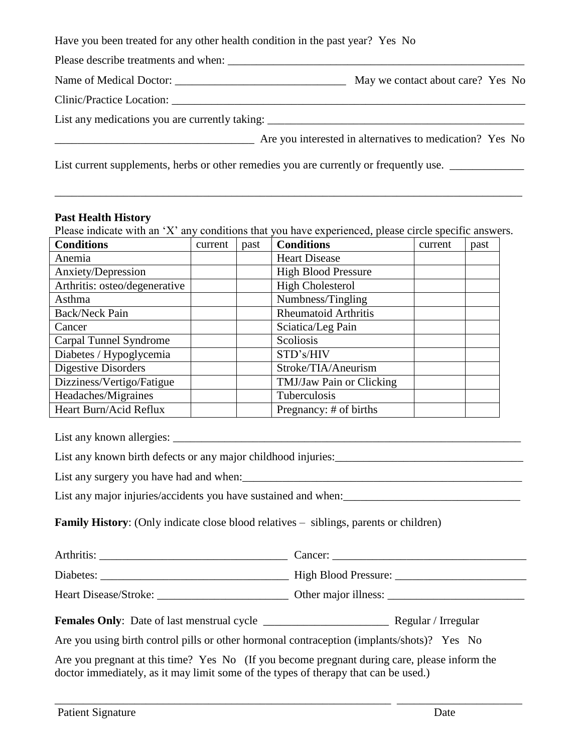| Have you been treated for any other health condition in the past year? Yes No |                                                                                   |  |
|-------------------------------------------------------------------------------|-----------------------------------------------------------------------------------|--|
| Please describe treatments and when:                                          |                                                                                   |  |
|                                                                               | May we contact about care? Yes No                                                 |  |
| Clinic/Practice Location:                                                     |                                                                                   |  |
|                                                                               | List any medications you are currently taking: __________________________________ |  |
|                                                                               | Are you interested in alternatives to medication? Yes No                          |  |

# List current supplements, herbs or other remedies you are currently or frequently use. \_\_\_\_\_\_\_\_\_\_\_\_\_\_\_\_\_\_\_\_\_\_\_

# **Past Health History**

Please indicate with an 'X' any conditions that you have experienced, please circle specific answers.

\_\_\_\_\_\_\_\_\_\_\_\_\_\_\_\_\_\_\_\_\_\_\_\_\_\_\_\_\_\_\_\_\_\_\_\_\_\_\_\_\_\_\_\_\_\_\_\_\_\_\_\_\_\_\_\_\_\_\_\_\_\_\_\_\_\_\_\_\_\_\_\_\_\_\_\_\_\_\_\_\_\_

| <b>Conditions</b>             | current | past | <b>Conditions</b>           | current | past |
|-------------------------------|---------|------|-----------------------------|---------|------|
| Anemia                        |         |      | <b>Heart Disease</b>        |         |      |
| Anxiety/Depression            |         |      | <b>High Blood Pressure</b>  |         |      |
| Arthritis: osteo/degenerative |         |      | <b>High Cholesterol</b>     |         |      |
| Asthma                        |         |      | Numbness/Tingling           |         |      |
| <b>Back/Neck Pain</b>         |         |      | <b>Rheumatoid Arthritis</b> |         |      |
| Cancer                        |         |      | Sciatica/Leg Pain           |         |      |
| Carpal Tunnel Syndrome        |         |      | Scoliosis                   |         |      |
| Diabetes / Hypoglycemia       |         |      | STD's/HIV                   |         |      |
| <b>Digestive Disorders</b>    |         |      | Stroke/TIA/Aneurism         |         |      |
| Dizziness/Vertigo/Fatigue     |         |      | TMJ/Jaw Pain or Clicking    |         |      |
| Headaches/Migraines           |         |      | Tuberculosis                |         |      |
| Heart Burn/Acid Reflux        |         |      | Pregnancy: # of births      |         |      |

List any known allergies:

List any known birth defects or any major childhood injuries:\_\_\_\_\_\_\_\_\_\_\_\_\_\_\_\_\_\_\_\_\_\_\_\_\_\_\_\_\_\_\_\_\_

List any surgery you have had and when:

List any major injuries/accidents you have sustained and when:\_\_\_\_\_\_\_\_\_\_\_\_\_\_\_\_\_\_\_\_\_\_\_\_\_\_\_\_\_\_\_

**Family History**: (Only indicate close blood relatives – siblings, parents or children)

| Arthritis:            | Cancer:              |
|-----------------------|----------------------|
| Diabetes:             | High Blood Pressure: |
| Heart Disease/Stroke: | Other major illness: |

**Females Only**: Date of last menstrual cycle \_\_\_\_\_\_\_\_\_\_\_\_\_\_\_\_\_\_\_\_\_\_ Regular / Irregular

Are you using birth control pills or other hormonal contraception (implants/shots)? Yes No

Are you pregnant at this time? Yes No (If you become pregnant during care, please inform the doctor immediately, as it may limit some of the types of therapy that can be used.)

\_\_\_\_\_\_\_\_\_\_\_\_\_\_\_\_\_\_\_\_\_\_\_\_\_\_\_\_\_\_\_\_\_\_\_\_\_\_\_\_\_\_\_\_\_\_\_\_\_\_\_\_\_\_\_\_\_\_\_ \_\_\_\_\_\_\_\_\_\_\_\_\_\_\_\_\_\_\_\_\_\_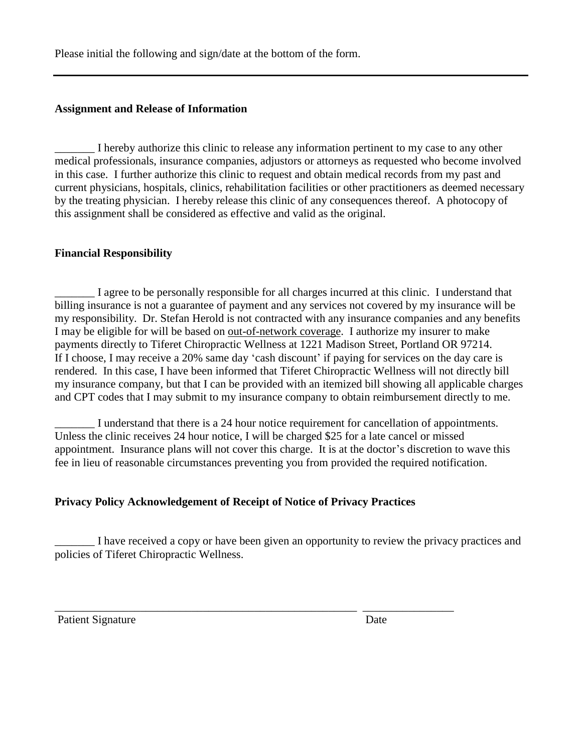Please initial the following and sign/date at the bottom of the form.

# **Assignment and Release of Information**

\_\_\_\_\_\_\_ I hereby authorize this clinic to release any information pertinent to my case to any other medical professionals, insurance companies, adjustors or attorneys as requested who become involved in this case. I further authorize this clinic to request and obtain medical records from my past and current physicians, hospitals, clinics, rehabilitation facilities or other practitioners as deemed necessary by the treating physician. I hereby release this clinic of any consequences thereof. A photocopy of this assignment shall be considered as effective and valid as the original.

# **Financial Responsibility**

\_\_\_\_\_\_\_ I agree to be personally responsible for all charges incurred at this clinic. I understand that billing insurance is not a guarantee of payment and any services not covered by my insurance will be my responsibility. Dr. Stefan Herold is not contracted with any insurance companies and any benefits I may be eligible for will be based on out-of-network coverage. I authorize my insurer to make payments directly to Tiferet Chiropractic Wellness at 1221 Madison Street, Portland OR 97214. If I choose, I may receive a 20% same day 'cash discount' if paying for services on the day care is rendered. In this case, I have been informed that Tiferet Chiropractic Wellness will not directly bill my insurance company, but that I can be provided with an itemized bill showing all applicable charges and CPT codes that I may submit to my insurance company to obtain reimbursement directly to me.

\_\_\_\_\_\_\_ I understand that there is a 24 hour notice requirement for cancellation of appointments. Unless the clinic receives 24 hour notice, I will be charged \$25 for a late cancel or missed appointment. Insurance plans will not cover this charge. It is at the doctor's discretion to wave this fee in lieu of reasonable circumstances preventing you from provided the required notification.

# **Privacy Policy Acknowledgement of Receipt of Notice of Privacy Practices**

\_\_\_\_\_\_\_\_\_\_\_\_\_\_\_\_\_\_\_\_\_\_\_\_\_\_\_\_\_\_\_\_\_\_\_\_\_\_\_\_\_\_\_\_\_\_\_\_\_\_\_\_\_ \_\_\_\_\_\_\_\_\_\_\_\_\_\_\_\_

\_\_\_\_\_\_\_ I have received a copy or have been given an opportunity to review the privacy practices and policies of Tiferet Chiropractic Wellness.

Patient Signature Date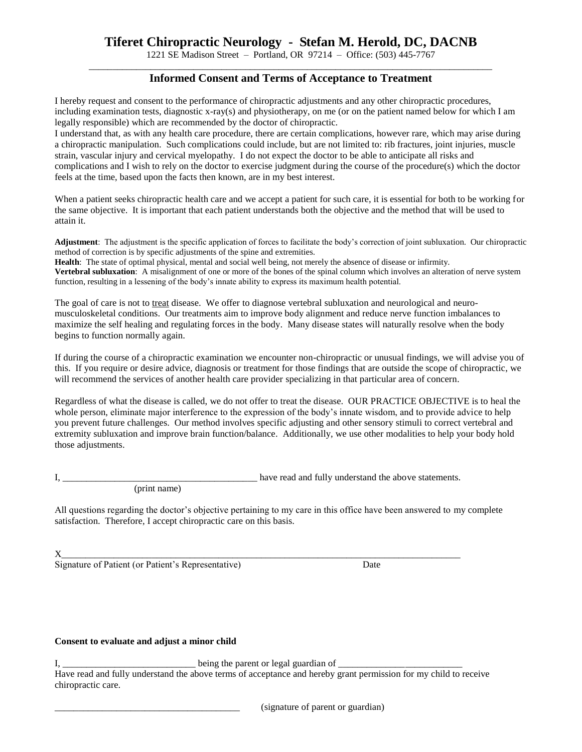# **Tiferet Chiropractic Neurology - Stefan M. Herold, DC, DACNB**

1221 SE Madison Street – Portland, OR 97214 – Office: (503) 445-7767 \_\_\_\_\_\_\_\_\_\_\_\_\_\_\_\_\_\_\_\_\_\_\_\_\_\_\_\_\_\_\_\_\_\_\_\_\_\_\_\_\_\_\_\_\_\_\_\_\_\_\_\_\_\_\_\_\_\_\_\_\_\_\_\_\_\_\_\_\_\_\_\_\_\_\_\_\_\_\_\_\_\_\_\_\_

## **Informed Consent and Terms of Acceptance to Treatment**

I hereby request and consent to the performance of chiropractic adjustments and any other chiropractic procedures, including examination tests, diagnostic x-ray(s) and physiotherapy, on me (or on the patient named below for which I am legally responsible) which are recommended by the doctor of chiropractic.

I understand that, as with any health care procedure, there are certain complications, however rare, which may arise during a chiropractic manipulation. Such complications could include, but are not limited to: rib fractures, joint injuries, muscle strain, vascular injury and cervical myelopathy. I do not expect the doctor to be able to anticipate all risks and complications and I wish to rely on the doctor to exercise judgment during the course of the procedure(s) which the doctor feels at the time, based upon the facts then known, are in my best interest.

When a patient seeks chiropractic health care and we accept a patient for such care, it is essential for both to be working for the same objective. It is important that each patient understands both the objective and the method that will be used to attain it.

**Adjustment**: The adjustment is the specific application of forces to facilitate the body's correction of joint subluxation. Our chiropractic method of correction is by specific adjustments of the spine and extremities.

**Health**: The state of optimal physical, mental and social well being, not merely the absence of disease or infirmity.

**Vertebral subluxation**: A misalignment of one or more of the bones of the spinal column which involves an alteration of nerve system function, resulting in a lessening of the body's innate ability to express its maximum health potential.

The goal of care is not to treat disease. We offer to diagnose vertebral subluxation and neurological and neuromusculoskeletal conditions. Our treatments aim to improve body alignment and reduce nerve function imbalances to maximize the self healing and regulating forces in the body. Many disease states will naturally resolve when the body begins to function normally again.

If during the course of a chiropractic examination we encounter non-chiropractic or unusual findings, we will advise you of this. If you require or desire advice, diagnosis or treatment for those findings that are outside the scope of chiropractic, we will recommend the services of another health care provider specializing in that particular area of concern.

Regardless of what the disease is called, we do not offer to treat the disease. OUR PRACTICE OBJECTIVE is to heal the whole person, eliminate major interference to the expression of the body's innate wisdom, and to provide advice to help you prevent future challenges. Our method involves specific adjusting and other sensory stimuli to correct vertebral and extremity subluxation and improve brain function/balance. Additionally, we use other modalities to help your body hold those adjustments.

(print name)

I, the statements is the statement of the statements of the above statements.

All questions regarding the doctor's objective pertaining to my care in this office have been answered to my complete satisfaction. Therefore, I accept chiropractic care on this basis.

 ${\bf x}$  , and the set of the set of the set of the set of the set of the set of the set of the set of the set of the set of the set of the set of the set of the set of the set of the set of the set of the set of the set of

Signature of Patient (or Patient's Representative) Date

## **Consent to evaluate and adjust a minor child**

I, \_\_\_\_\_\_\_\_\_\_\_\_\_\_\_\_\_\_\_\_\_\_\_\_\_\_\_\_ being the parent or legal guardian of \_\_\_\_\_\_\_\_\_\_\_\_\_\_\_\_\_\_\_\_\_\_\_\_\_\_

Have read and fully understand the above terms of acceptance and hereby grant permission for my child to receive chiropractic care.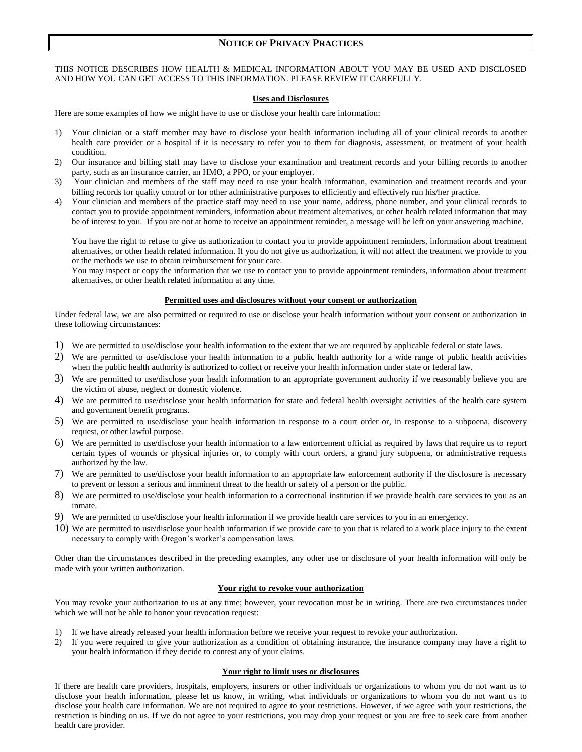### **NOTICE OF PRIVACY PRACTICES**

#### THIS NOTICE DESCRIBES HOW HEALTH & MEDICAL INFORMATION ABOUT YOU MAY BE USED AND DISCLOSED AND HOW YOU CAN GET ACCESS TO THIS INFORMATION. PLEASE REVIEW IT CAREFULLY.

#### **Uses and Disclosures**

Here are some examples of how we might have to use or disclose your health care information:

- 1) Your clinician or a staff member may have to disclose your health information including all of your clinical records to another health care provider or a hospital if it is necessary to refer you to them for diagnosis, assessment, or treatment of your health condition.
- 2) Our insurance and billing staff may have to disclose your examination and treatment records and your billing records to another party, such as an insurance carrier, an HMO, a PPO, or your employer.
- 3) Your clinician and members of the staff may need to use your health information, examination and treatment records and your billing records for quality control or for other administrative purposes to efficiently and effectively run his/her practice.
- 4) Your clinician and members of the practice staff may need to use your name, address, phone number, and your clinical records to contact you to provide appointment reminders, information about treatment alternatives, or other health related information that may be of interest to you. If you are not at home to receive an appointment reminder, a message will be left on your answering machine.

You have the right to refuse to give us authorization to contact you to provide appointment reminders, information about treatment alternatives, or other health related information. If you do not give us authorization, it will not affect the treatment we provide to you or the methods we use to obtain reimbursement for your care.

You may inspect or copy the information that we use to contact you to provide appointment reminders, information about treatment alternatives, or other health related information at any time.

#### **Permitted uses and disclosures without your consent or authorization**

Under federal law, we are also permitted or required to use or disclose your health information without your consent or authorization in these following circumstances:

- 1) We are permitted to use/disclose your health information to the extent that we are required by applicable federal or state laws.
- 2) We are permitted to use/disclose your health information to a public health authority for a wide range of public health activities when the public health authority is authorized to collect or receive your health information under state or federal law.
- 3) We are permitted to use/disclose your health information to an appropriate government authority if we reasonably believe you are the victim of abuse, neglect or domestic violence.
- 4) We are permitted to use/disclose your health information for state and federal health oversight activities of the health care system and government benefit programs.
- 5) We are permitted to use/disclose your health information in response to a court order or, in response to a subpoena, discovery request, or other lawful purpose.
- 6) We are permitted to use/disclose your health information to a law enforcement official as required by laws that require us to report certain types of wounds or physical injuries or, to comply with court orders, a grand jury subpoena, or administrative requests authorized by the law.
- 7) We are permitted to use/disclose your health information to an appropriate law enforcement authority if the disclosure is necessary to prevent or lesson a serious and imminent threat to the health or safety of a person or the public.
- 8) We are permitted to use/disclose your health information to a correctional institution if we provide health care services to you as an inmate.
- 9) We are permitted to use/disclose your health information if we provide health care services to you in an emergency.
- 10) We are permitted to use/disclose your health information if we provide care to you that is related to a work place injury to the extent necessary to comply with Oregon's worker's compensation laws.

Other than the circumstances described in the preceding examples, any other use or disclosure of your health information will only be made with your written authorization.

#### **Your right to revoke your authorization**

You may revoke your authorization to us at any time; however, your revocation must be in writing. There are two circumstances under which we will not be able to honor your revocation request:

- 1) If we have already released your health information before we receive your request to revoke your authorization.
- 2) If you were required to give your authorization as a condition of obtaining insurance, the insurance company may have a right to your health information if they decide to contest any of your claims.

#### **Your right to limit uses or disclosures**

If there are health care providers, hospitals, employers, insurers or other individuals or organizations to whom you do not want us to disclose your health information, please let us know, in writing, what individuals or organizations to whom you do not want us to disclose your health care information. We are not required to agree to your restrictions. However, if we agree with your restrictions, the restriction is binding on us. If we do not agree to your restrictions, you may drop your request or you are free to seek care from another health care provider.